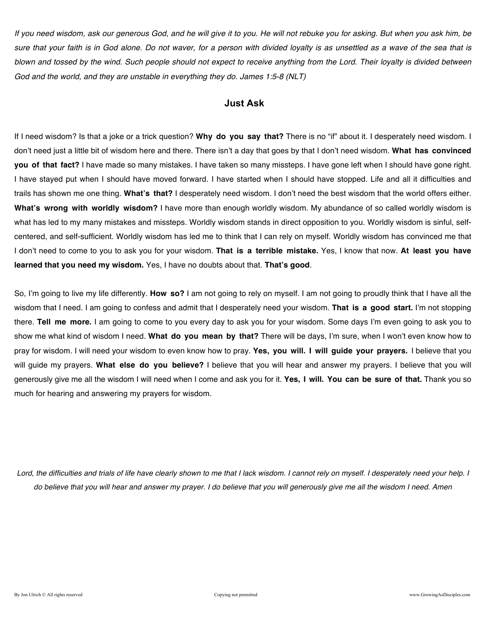*If you need wisdom, ask our generous God, and he will give it to you. He will not rebuke you for asking. But when you ask him, be sure that your faith is in God alone. Do not waver, for a person with divided loyalty is as unsettled as a wave of the sea that is blown and tossed by the wind. Such people should not expect to receive anything from the Lord. Their loyalty is divided between God and the world, and they are unstable in everything they do. James 1:5-8 (NLT)* 

### **Just Ask**

If I need wisdom? Is that a joke or a trick question? **Why do you say that?** There is no "if" about it. I desperately need wisdom. I don't need just a little bit of wisdom here and there. There isn't a day that goes by that I don't need wisdom. **What has convinced you of that fact?** I have made so many mistakes. I have taken so many missteps. I have gone left when I should have gone right. I have stayed put when I should have moved forward. I have started when I should have stopped. Life and all it difficulties and trails has shown me one thing. **What's that?** I desperately need wisdom. I don't need the best wisdom that the world offers either. **What's wrong with worldly wisdom?** I have more than enough worldly wisdom. My abundance of so called worldly wisdom is what has led to my many mistakes and missteps. Worldly wisdom stands in direct opposition to you. Worldly wisdom is sinful, selfcentered, and self-sufficient. Worldly wisdom has led me to think that I can rely on myself. Worldly wisdom has convinced me that I don't need to come to you to ask you for your wisdom. **That is a terrible mistake.** Yes, I know that now. **At least you have learned that you need my wisdom.** Yes, I have no doubts about that. **That's good**.

So, I'm going to live my life differently. **How so?** I am not going to rely on myself. I am not going to proudly think that I have all the wisdom that I need. I am going to confess and admit that I desperately need your wisdom. **That is a good start.** I'm not stopping there. **Tell me more.** I am going to come to you every day to ask you for your wisdom. Some days I'm even going to ask you to show me what kind of wisdom I need. **What do you mean by that?** There will be days, I'm sure, when I won't even know how to pray for wisdom. I will need your wisdom to even know how to pray. **Yes, you will. I will guide your prayers.** I believe that you will guide my prayers. **What else do you believe?** I believe that you will hear and answer my prayers. I believe that you will generously give me all the wisdom I will need when I come and ask you for it. **Yes, I will. You can be sure of that.** Thank you so much for hearing and answering my prayers for wisdom.

*Lord, the difficulties and trials of life have clearly shown to me that I lack wisdom. I cannot rely on myself. I desperately need your help. I do believe that you will hear and answer my prayer. I do believe that you will generously give me all the wisdom I need. Amen*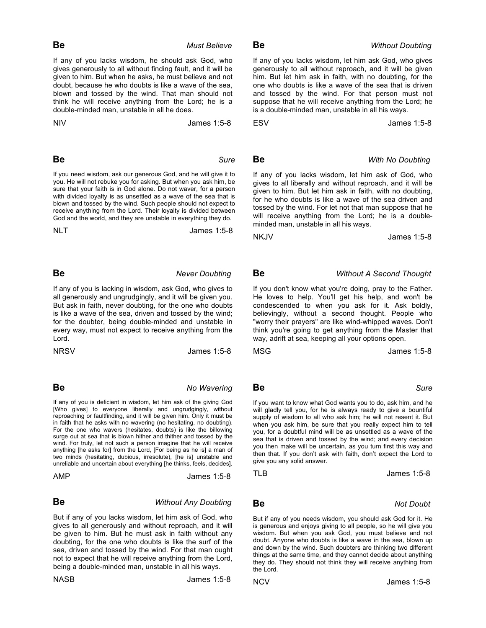**Be** *Must Believe* 

If any of you lacks wisdom, he should ask God, who gives generously to all without finding fault, and it will be given to him. But when he asks, he must believe and not doubt, because he who doubts is like a wave of the sea, blown and tossed by the wind. That man should not think he will receive anything from the Lord; he is a double-minded man, unstable in all he does.

NIV James 1:5-8

### **Be** Sure

If you need wisdom, ask our generous God, and he will give it to you. He will not rebuke you for asking. But when you ask him, be sure that your faith is in God alone. Do not waver, for a person with divided loyalty is as unsettled as a wave of the sea that is blown and tossed by the wind. Such people should not expect to receive anything from the Lord. Their loyalty is divided between God and the world, and they are unstable in everything they do.

NLT James 1:5-8

### **Be** Never Doubting

If any of you is lacking in wisdom, ask God, who gives to all generously and ungrudgingly, and it will be given you. But ask in faith, never doubting, for the one who doubts is like a wave of the sea, driven and tossed by the wind; for the doubter, being double-minded and unstable in every way, must not expect to receive anything from the Lord.

NRSV James 1:5-8

### **Be** No Wavering

If any of you is deficient in wisdom, let him ask of the giving God [Who gives] to everyone liberally and ungrudgingly, without reproaching or faultfinding, and it will be given him. Only it must be in faith that he asks with no wavering (no hesitating, no doubting). For the one who wavers (hesitates, doubts) is like the billowing surge out at sea that is blown hither and thither and tossed by the wind. For truly, let not such a person imagine that he will receive anything [he asks for] from the Lord, [For being as he is] a man of two minds (hesitating, dubious, irresolute), [he is] unstable and unreliable and uncertain about everything [he thinks, feels, decides].

AMP James 1:5-8

### **Be** Without Any Doubting

But if any of you lacks wisdom, let him ask of God, who gives to all generously and without reproach, and it will be given to him. But he must ask in faith without any doubting, for the one who doubts is like the surf of the sea, driven and tossed by the wind. For that man ought not to expect that he will receive anything from the Lord, being a double-minded man, unstable in all his ways.

NASB James 1:5-8

If any of you lacks wisdom, let him ask God, who gives generously to all without reproach, and it will be given him. But let him ask in faith, with no doubting, for the one who doubts is like a wave of the sea that is driven and tossed by the wind. For that person must not suppose that he will receive anything from the Lord; he is a double-minded man, unstable in all his ways.

ESV James 1:5-8

# **Be** *With No Doubting*

If any of you lacks wisdom, let him ask of God, who gives to all liberally and without reproach, and it will be given to him. But let him ask in faith, with no doubting, for he who doubts is like a wave of the sea driven and tossed by the wind. For let not that man suppose that he will receive anything from the Lord; he is a doubleminded man, unstable in all his ways.

NKJV James 1:5-8

# **Be** Without A Second Thought

If you don't know what you're doing, pray to the Father. He loves to help. You'll get his help, and won't be condescended to when you ask for it. Ask boldly, believingly, without a second thought. People who "worry their prayers" are like wind-whipped waves. Don't think you're going to get anything from the Master that way, adrift at sea, keeping all your options open.

MSG James 1:5-8

## **Be** Sure

If you want to know what God wants you to do, ask him, and he will gladly tell you, for he is always ready to give a bountiful supply of wisdom to all who ask him; he will not resent it. But when you ask him, be sure that you really expect him to tell you, for a doubtful mind will be as unsettled as a wave of the sea that is driven and tossed by the wind; and every decision you then make will be uncertain, as you turn first this way and then that. If you don't ask with faith, don't expect the Lord to give you any solid answer.

TLB James 1:5-8

**Be** Not Doubt

But if any of you needs wisdom, you should ask God for it. He is generous and enjoys giving to all people, so he will give you wisdom. But when you ask God, you must believe and not doubt. Anyone who doubts is like a wave in the sea, blown up and down by the wind. Such doubters are thinking two different things at the same time, and they cannot decide about anything they do. They should not think they will receive anything from the Lord.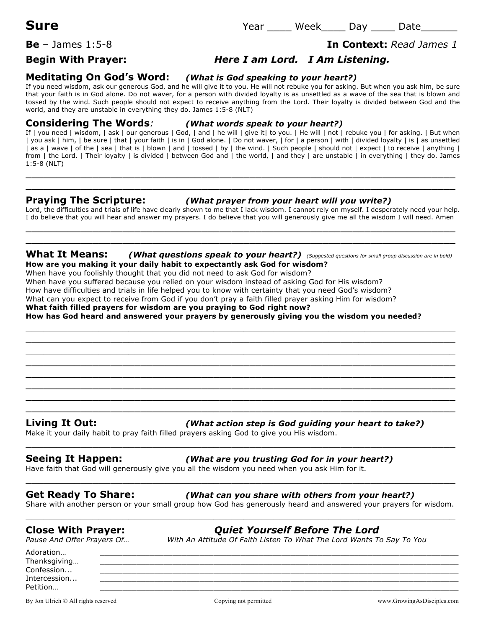**Be** – James 1:5-8 **In Context:** *Read James 1*

## **Begin With Prayer:** *Here I am Lord. I Am Listening.*

### **Meditating On God's Word:** *(What is God speaking to your heart?)*

If you need wisdom, ask our generous God, and he will give it to you. He will not rebuke you for asking. But when you ask him, be sure that your faith is in God alone. Do not waver, for a person with divided loyalty is as unsettled as a wave of the sea that is blown and tossed by the wind. Such people should not expect to receive anything from the Lord. Their loyalty is divided between God and the world, and they are unstable in everything they do. James 1:5-8 (NLT)

### **Considering The Words***: (What words speak to your heart?)*

If | you need | wisdom, | ask | our generous | God, | and | he will | give it| to you. | He will | not | rebuke you | for asking. | But when | you ask | him, | be sure | that | your faith | is in | God alone. | Do not waver, | for | a person | with | divided loyalty | is | as unsettled | as a | wave | of the | sea | that is | blown | and | tossed | by | the wind. | Such people | should not | expect | to receive | anything | from | the Lord. | Their loyalty | is divided | between God and | the world, | and they | are unstable | in everything | they do. James 1:5-8 (NLT)

 $\_$  , and the set of the set of the set of the set of the set of the set of the set of the set of the set of the set of the set of the set of the set of the set of the set of the set of the set of the set of the set of th  $\_$  , and the set of the set of the set of the set of the set of the set of the set of the set of the set of the set of the set of the set of the set of the set of the set of the set of the set of the set of the set of th

### **Praying The Scripture:** *(What prayer from your heart will you write?)*

Lord, the difficulties and trials of life have clearly shown to me that I lack wisdom. I cannot rely on myself. I desperately need your help. I do believe that you will hear and answer my prayers. I do believe that you will generously give me all the wisdom I will need. Amen  $\_$  , and the set of the set of the set of the set of the set of the set of the set of the set of the set of the set of the set of the set of the set of the set of the set of the set of the set of the set of the set of th

### **What It Means:** *(What questions speak to your heart?) (Suggested questions for small group discussion are in bold)* **How are you making it your daily habit to expectantly ask God for wisdom?**

 $\_$  , and the set of the set of the set of the set of the set of the set of the set of the set of the set of the set of the set of the set of the set of the set of the set of the set of the set of the set of the set of th  $\_$  , and the set of the set of the set of the set of the set of the set of the set of the set of the set of the set of the set of the set of the set of the set of the set of the set of the set of the set of the set of th  $\_$  , and the set of the set of the set of the set of the set of the set of the set of the set of the set of the set of the set of the set of the set of the set of the set of the set of the set of the set of the set of th  $\_$  , and the set of the set of the set of the set of the set of the set of the set of the set of the set of the set of the set of the set of the set of the set of the set of the set of the set of the set of the set of th  $\_$  , and the set of the set of the set of the set of the set of the set of the set of the set of the set of the set of the set of the set of the set of the set of the set of the set of the set of the set of the set of th \_\_\_\_\_\_\_\_\_\_\_\_\_\_\_\_\_\_\_\_\_\_\_\_\_\_\_\_\_\_\_\_\_\_\_\_\_\_\_\_\_\_\_\_\_\_\_\_\_\_\_\_\_\_\_\_\_\_\_\_\_\_\_\_\_\_\_\_\_\_\_ \_\_\_\_\_\_\_\_\_\_\_\_\_\_\_\_\_\_\_\_\_\_\_\_\_\_\_\_\_\_\_\_\_\_\_\_\_\_\_\_\_\_\_\_\_\_\_\_\_\_\_\_\_\_\_\_\_\_\_\_\_\_\_\_\_\_\_\_\_\_\_ \_\_\_\_\_\_\_\_\_\_\_\_\_\_\_\_\_\_\_\_\_\_\_\_\_\_\_\_\_\_\_\_\_\_\_\_\_\_\_\_\_\_\_\_\_\_\_\_\_\_\_\_\_\_\_\_\_\_\_\_\_\_\_\_\_\_\_\_\_\_\_

\_\_\_\_\_\_\_\_\_\_\_\_\_\_\_\_\_\_\_\_\_\_\_\_\_\_\_\_\_\_\_\_\_\_\_\_\_\_\_\_\_\_\_\_\_\_\_\_\_\_\_\_\_\_\_\_\_\_\_\_\_\_\_\_\_\_\_\_\_\_\_

When have you foolishly thought that you did not need to ask God for wisdom?

When have you suffered because you relied on your wisdom instead of asking God for His wisdom?

How have difficulties and trials in life helped you to know with certainty that you need God's wisdom?

What can you expect to receive from God if you don't pray a faith filled prayer asking Him for wisdom?

**What faith filled prayers for wisdom are you praying to God right now?**

**How has God heard and answered your prayers by generously giving you the wisdom you needed?**

### **Living It Out:** *(What action step is God guiding your heart to take?)*

Make it your daily habit to pray faith filled prayers asking God to give you His wisdom.

### **Seeing It Happen:** *(What are you trusting God for in your heart?)*

Have faith that God will generously give you all the wisdom you need when you ask Him for it.

### **Get Ready To Share:** *(What can you share with others from your heart?)*

Share with another person or your small group how God has generously heard and answered your prayers for wisdom.  $\_$  , and the set of the set of the set of the set of the set of the set of the set of the set of the set of the set of the set of the set of the set of the set of the set of the set of the set of the set of the set of th

 $\_$  , and the set of the set of the set of the set of the set of the set of the set of the set of the set of the set of the set of the set of the set of the set of the set of the set of the set of the set of the set of th

 $\_$  , and the set of the set of the set of the set of the set of the set of the set of the set of the set of the set of the set of the set of the set of the set of the set of the set of the set of the set of the set of th

## **Close With Prayer:** *Quiet Yourself Before The Lord*

*Pause And Offer Prayers Of… With An Attitude Of Faith Listen To What The Lord Wants To Say To You*

Adoration… \_\_\_\_\_\_\_\_\_\_\_\_\_\_\_\_\_\_\_\_\_\_\_\_\_\_\_\_\_\_\_\_\_\_\_\_\_\_\_\_\_\_\_\_\_\_\_\_\_\_\_\_\_\_\_\_\_\_\_\_\_\_\_\_\_\_\_\_\_\_\_\_\_\_\_\_\_\_\_ Thanksgiving... Confession... \_\_\_\_\_\_\_\_\_\_\_\_\_\_\_\_\_\_\_\_\_\_\_\_\_\_\_\_\_\_\_\_\_\_\_\_\_\_\_\_\_\_\_\_\_\_\_\_\_\_\_\_\_\_\_\_\_\_\_\_\_\_\_\_\_\_\_\_\_\_\_\_\_\_\_\_\_\_\_ Intercession... Petition… \_\_\_\_\_\_\_\_\_\_\_\_\_\_\_\_\_\_\_\_\_\_\_\_\_\_\_\_\_\_\_\_\_\_\_\_\_\_\_\_\_\_\_\_\_\_\_\_\_\_\_\_\_\_\_\_\_\_\_\_\_\_\_\_\_\_\_\_\_\_\_\_\_\_\_\_\_\_\_

By Jon Ulrich © All rights reserved examples and comparing Copying not permitted www.GrowingAsDisciples.com

**Sure** Year \_\_\_\_ Week\_\_\_\_ Day \_\_\_\_ Date\_\_\_\_\_\_